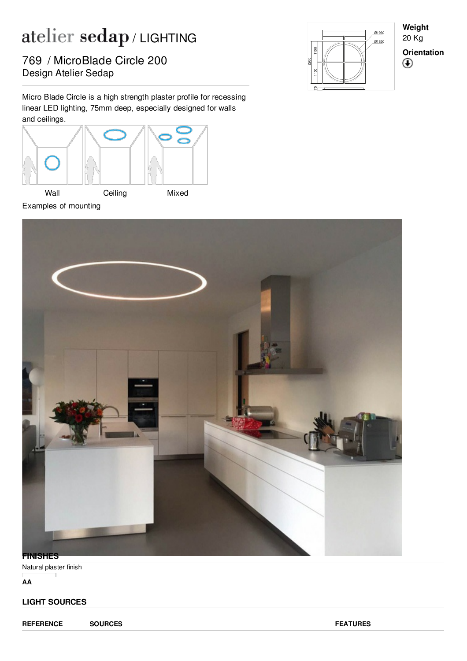## atelier sedap/LIGHTING

Pesign Atelier Sedap 769 / MicroBlade Circle 200

Micro Blade Circle is a high strength plaster profile for recessing linear LED lighting, 75mm deep, especially designed for walls and ceilings.





**Weight** 20 Kg **Orientation** $^{\circledR}$ 



Natural plaster finish

**AA**

## **LIGHT SOURCES**

**REFERENCE SOURCES FEATURES**